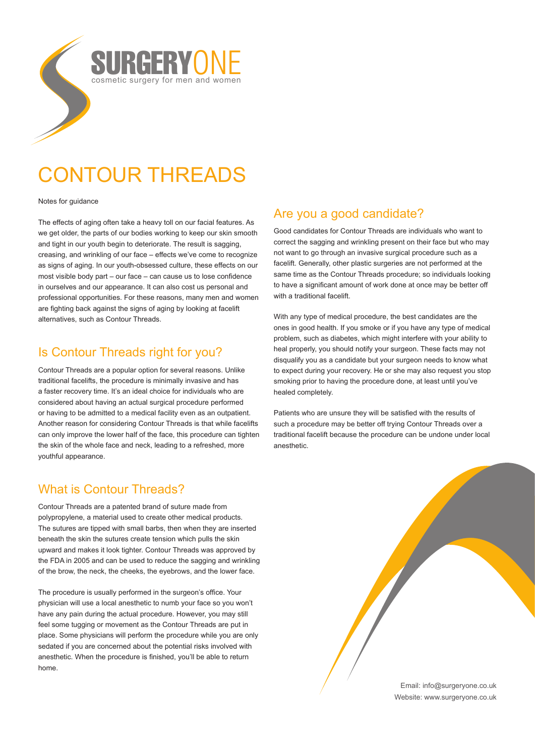

# CONTOUR THREADS

Notes for guidance

The effects of aging often take a heavy toll on our facial features. As we get older, the parts of our bodies working to keep our skin smooth and tight in our youth begin to deteriorate. The result is sagging, creasing, and wrinkling of our face – effects we've come to recognize as signs of aging. In our youth-obsessed culture, these effects on our most visible body part – our face – can cause us to lose confidence in ourselves and our appearance. It can also cost us personal and professional opportunities. For these reasons, many men and women are fighting back against the signs of aging by looking at facelift alternatives, such as Contour Threads.

### Is Contour Threads right for you?

Contour Threads are a popular option for several reasons. Unlike traditional facelifts, the procedure is minimally invasive and has a faster recovery time. It's an ideal choice for individuals who are considered about having an actual surgical procedure performed or having to be admitted to a medical facility even as an outpatient. Another reason for considering Contour Threads is that while facelifts can only improve the lower half of the face, this procedure can tighten the skin of the whole face and neck, leading to a refreshed, more youthful appearance.

## What is Contour Threads?

Contour Threads are a patented brand of suture made from polypropylene, a material used to create other medical products. The sutures are tipped with small barbs, then when they are inserted beneath the skin the sutures create tension which pulls the skin upward and makes it look tighter. Contour Threads was approved by the FDA in 2005 and can be used to reduce the sagging and wrinkling of the brow, the neck, the cheeks, the eyebrows, and the lower face.

The procedure is usually performed in the surgeon's office. Your physician will use a local anesthetic to numb your face so you won't have any pain during the actual procedure. However, you may still feel some tugging or movement as the Contour Threads are put in place. Some physicians will perform the procedure while you are only sedated if you are concerned about the potential risks involved with anesthetic. When the procedure is finished, you'll be able to return home.

# Are you a good candidate?

Good candidates for Contour Threads are individuals who want to correct the sagging and wrinkling present on their face but who may not want to go through an invasive surgical procedure such as a facelift. Generally, other plastic surgeries are not performed at the same time as the Contour Threads procedure; so individuals looking to have a significant amount of work done at once may be better off with a traditional facelift.

With any type of medical procedure, the best candidates are the ones in good health. If you smoke or if you have any type of medical problem, such as diabetes, which might interfere with your ability to heal properly, you should notify your surgeon. These facts may not disqualify you as a candidate but your surgeon needs to know what to expect during your recovery. He or she may also request you stop smoking prior to having the procedure done, at least until you've healed completely.

Patients who are unsure they will be satisfied with the results of such a procedure may be better off trying Contour Threads over a traditional facelift because the procedure can be undone under local anesthetic.

> Email: info@surgeryone.co.uk Website: www.surgeryone.co.uk